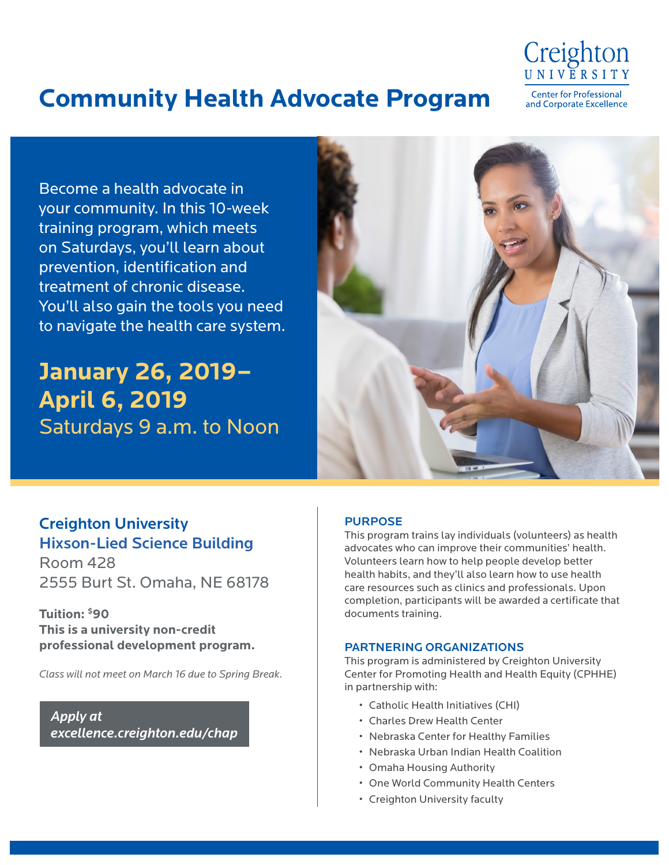

## **Community Health Advocate Program**

**Center for Professional** and Corporate Excellence

Become a health advocate in your community. In this 10-week training program, which meets on Saturdays, you'll learn about prevention, identification and treatment of chronic disease. You'll also gain the tools you need to navigate the health care system.

# **January 26, 2019– April 6, 2019** Saturdays 9 a.m. to Noon



## Creighton University Hixson-Lied Science Building

Room 428 2555 Burt St. Omaha, NE 68178

**Tuition: \$90 This is a university non-credit professional development program.**

*Class will not meet on March 16 due to Spring Break.*

*[Apply at](http://excellence.creighton.edu/chap)  [excellence.creighton.edu/chap](http://excellence.creighton.edu/chap)*

#### PURPOSE

This program trains lay individuals (volunteers) as health advocates who can improve their communities' health. Volunteers learn how to help people develop better health habits, and they'll also learn how to use health care resources such as clinics and professionals. Upon completion, participants will be awarded a certificate that documents training.

#### PARTNERING ORGANIZATIONS

This program is administered by Creighton University Center for Promoting Health and Health Equity (CPHHE) in partnership with:

- Catholic Health Initiatives (CHI)
- Charles Drew Health Center
- Nebraska Center for Healthy Families
- Nebraska Urban Indian Health Coalition
- Omaha Housing Authority
- One World Community Health Centers
- Creighton University faculty